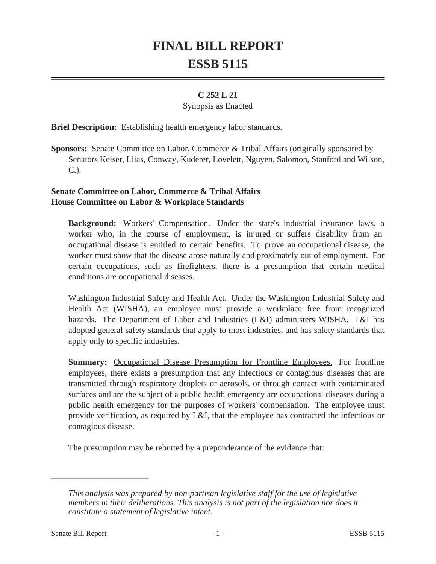# **FINAL BILL REPORT ESSB 5115**

## **C 252 L 21**

#### Synopsis as Enacted

**Brief Description:** Establishing health emergency labor standards.

**Sponsors:** Senate Committee on Labor, Commerce & Tribal Affairs (originally sponsored by Senators Keiser, Liias, Conway, Kuderer, Lovelett, Nguyen, Salomon, Stanford and Wilson, C.).

## **Senate Committee on Labor, Commerce & Tribal Affairs House Committee on Labor & Workplace Standards**

**Background:** Workers' Compensation. Under the state's industrial insurance laws, a worker who, in the course of employment, is injured or suffers disability from an occupational disease is entitled to certain benefits. To prove an occupational disease, the worker must show that the disease arose naturally and proximately out of employment. For certain occupations, such as firefighters, there is a presumption that certain medical conditions are occupational diseases.

Washington Industrial Safety and Health Act. Under the Washington Industrial Safety and Health Act (WISHA), an employer must provide a workplace free from recognized hazards. The Department of Labor and Industries (L&I) administers WISHA. L&I has adopted general safety standards that apply to most industries, and has safety standards that apply only to specific industries.

**Summary:** Occupational Disease Presumption for Frontline Employees. For frontline employees, there exists a presumption that any infectious or contagious diseases that are transmitted through respiratory droplets or aerosols, or through contact with contaminated surfaces and are the subject of a public health emergency are occupational diseases during a public health emergency for the purposes of workers' compensation. The employee must provide verification, as required by L&I, that the employee has contracted the infectious or contagious disease.

The presumption may be rebutted by a preponderance of the evidence that:

*This analysis was prepared by non-partisan legislative staff for the use of legislative members in their deliberations. This analysis is not part of the legislation nor does it constitute a statement of legislative intent.*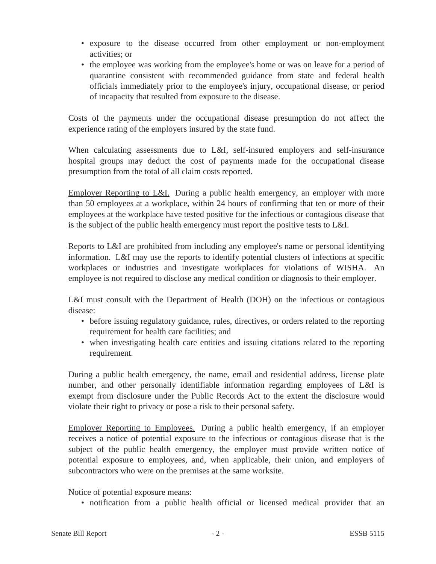- exposure to the disease occurred from other employment or non-employment activities; or
- the employee was working from the employee's home or was on leave for a period of quarantine consistent with recommended guidance from state and federal health officials immediately prior to the employee's injury, occupational disease, or period of incapacity that resulted from exposure to the disease.

Costs of the payments under the occupational disease presumption do not affect the experience rating of the employers insured by the state fund.

When calculating assessments due to L&I, self-insured employers and self-insurance hospital groups may deduct the cost of payments made for the occupational disease presumption from the total of all claim costs reported.

Employer Reporting to L&I. During a public health emergency, an employer with more than 50 employees at a workplace, within 24 hours of confirming that ten or more of their employees at the workplace have tested positive for the infectious or contagious disease that is the subject of the public health emergency must report the positive tests to L&I.

Reports to L&I are prohibited from including any employee's name or personal identifying information. L&I may use the reports to identify potential clusters of infections at specific workplaces or industries and investigate workplaces for violations of WISHA. An employee is not required to disclose any medical condition or diagnosis to their employer.

L&I must consult with the Department of Health (DOH) on the infectious or contagious disease:

- before issuing regulatory guidance, rules, directives, or orders related to the reporting requirement for health care facilities; and
- when investigating health care entities and issuing citations related to the reporting requirement.

During a public health emergency, the name, email and residential address, license plate number, and other personally identifiable information regarding employees of L&I is exempt from disclosure under the Public Records Act to the extent the disclosure would violate their right to privacy or pose a risk to their personal safety.

Employer Reporting to Employees. During a public health emergency, if an employer receives a notice of potential exposure to the infectious or contagious disease that is the subject of the public health emergency, the employer must provide written notice of potential exposure to employees, and, when applicable, their union, and employers of subcontractors who were on the premises at the same worksite.

Notice of potential exposure means:

• notification from a public health official or licensed medical provider that an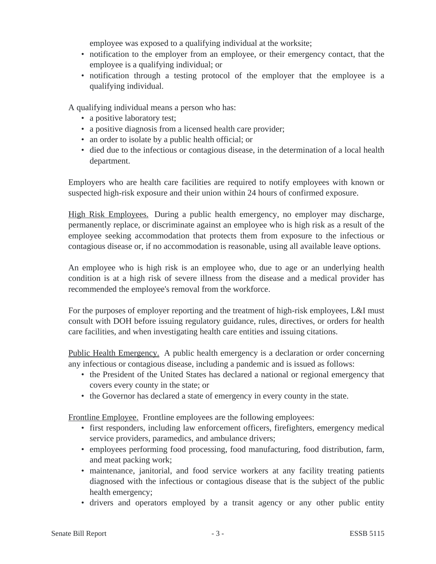employee was exposed to a qualifying individual at the worksite;

- notification to the employer from an employee, or their emergency contact, that the employee is a qualifying individual; or
- notification through a testing protocol of the employer that the employee is a qualifying individual.

A qualifying individual means a person who has:

- a positive laboratory test;
- a positive diagnosis from a licensed health care provider;
- an order to isolate by a public health official; or
- died due to the infectious or contagious disease, in the determination of a local health department.

Employers who are health care facilities are required to notify employees with known or suspected high-risk exposure and their union within 24 hours of confirmed exposure.

High Risk Employees. During a public health emergency, no employer may discharge, permanently replace, or discriminate against an employee who is high risk as a result of the employee seeking accommodation that protects them from exposure to the infectious or contagious disease or, if no accommodation is reasonable, using all available leave options.

An employee who is high risk is an employee who, due to age or an underlying health condition is at a high risk of severe illness from the disease and a medical provider has recommended the employee's removal from the workforce.

For the purposes of employer reporting and the treatment of high-risk employees, L&I must consult with DOH before issuing regulatory guidance, rules, directives, or orders for health care facilities, and when investigating health care entities and issuing citations.

Public Health Emergency. A public health emergency is a declaration or order concerning any infectious or contagious disease, including a pandemic and is issued as follows:

- the President of the United States has declared a national or regional emergency that covers every county in the state; or
- the Governor has declared a state of emergency in every county in the state.

Frontline Employee. Frontline employees are the following employees:

- first responders, including law enforcement officers, firefighters, emergency medical service providers, paramedics, and ambulance drivers;
- employees performing food processing, food manufacturing, food distribution, farm, and meat packing work;
- maintenance, janitorial, and food service workers at any facility treating patients diagnosed with the infectious or contagious disease that is the subject of the public health emergency;
- drivers and operators employed by a transit agency or any other public entity